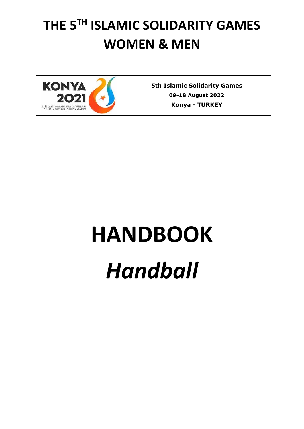# **THE 5 TH ISLAMIC SOLIDARITY GAMES WOMEN & MEN**



**5th Islamic Solidarity Games 09-18 August 2022 Konya** *-* **TURKEY**

# **HANDBOOK**

*Handball*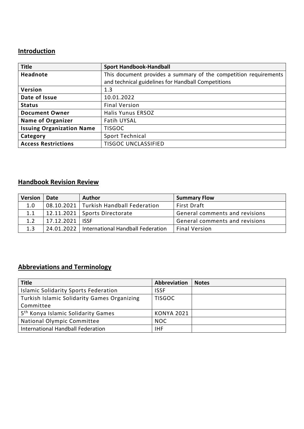### **Introduction**

| <b>Title</b>                     | <b>Sport Handbook-Handball</b>                                   |
|----------------------------------|------------------------------------------------------------------|
| Headnote                         | This document provides a summary of the competition requirements |
|                                  | and technical guidelines for Handball Competitions               |
| Version                          | 1.3                                                              |
| Date of Issue                    | 10.01.2022                                                       |
| <b>Status</b>                    | <b>Final Version</b>                                             |
| <b>Document Owner</b>            | <b>Halis Yunus ERSOZ</b>                                         |
| <b>Name of Organizer</b>         | <b>Fatih UYSAL</b>                                               |
| <b>Issuing Organization Name</b> | <b>TISGOC</b>                                                    |
| Category                         | Sport Technical                                                  |
| <b>Access Restrictions</b>       | <b>TISGOC UNCLASSIFIED</b>                                       |

#### **Handbook Revision Review**

| <b>Version</b> | <b>Date</b>       | <b>Author</b>                                  | <b>Summary Flow</b>            |
|----------------|-------------------|------------------------------------------------|--------------------------------|
| 1.0            |                   | 08.10.2021   Turkish Handball Federation       | <b>First Draft</b>             |
| 1.1            |                   | $12.11.2021$ Sports Directorate                | General comments and revisions |
| 1.2            | 17.12.2021   ISSF |                                                | General comments and revisions |
| 1.3            |                   | 24.01.2022   International Handball Federation | <b>Final Version</b>           |

## **Abbreviations and Terminology**

| <b>Title</b>                                       | Abbreviation      | <b>Notes</b> |
|----------------------------------------------------|-------------------|--------------|
| <b>Islamic Solidarity Sports Federation</b>        | <b>ISSF</b>       |              |
| <b>Turkish Islamic Solidarity Games Organizing</b> | <b>TISGOC</b>     |              |
| Committee                                          |                   |              |
| 5 <sup>th</sup> Konya Islamic Solidarity Games     | <b>KONYA 2021</b> |              |
| National Olympic Committee                         | <b>NOC</b>        |              |
| International Handball Federation                  | IHF.              |              |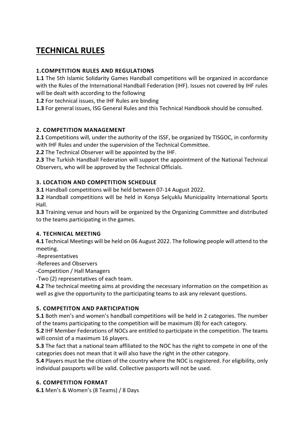# **TECHNICAL RULES**

#### **1.COMPETITION RULES AND REGULATIONS**

**1.1** The 5th Islamic Solidarity Games Handball competitions will be organized in accordance with the Rules of the International Handball Federation (IHF). Issues not covered by IHF rules will be dealt with according to the following

**1.2** For technical issues, the IHF Rules are binding

**1.3** For general issues, ISG General Rules and this Technical Handbook should be consulted.

#### **2. COMPETITION MANAGEMENT**

**2.1** Competitions will, under the authority of the ISSF, be organized by TISGOC, in conformity with IHF Rules and under the supervision of the Technical Committee.

**2.2** The Technical Observer will be appointed by the IHF.

**2.3** The Turkish Handball Federation will support the appointment of the National Technical Observers, who will be approved by the Technical Officials.

#### **3. LOCATION AND COMPETITION SCHEDULE**

**3.1** Handball competitions will be held between 07-14 August 2022.

**3.2** Handball competitions will be held in Konya Selçuklu Municipality International Sports Hall.

**3.3** Training venue and hours will be organized by the Organizing Committee and distributed to the teams participating in the games.

#### **4. TECHNICAL MEETING**

**4.1** Technical Meetings will be held on 06 August 2022. The following people will attend to the meeting.

-Representatives

-Referees and Observers

-Competition / Hall Managers

-Two (2) representatives of each team.

**4.2** The technical meeting aims at providing the necessary information on the competition as well as give the opportunity to the participating teams to ask any relevant questions.

#### **5. COMPETITON AND PARTICIPATION**

**5.1** Both men's and women's handball competitions will be held in 2 categories. The number of the teams participating to the competition will be maximum (8) for each category.

**5.2** IHF Member Federations of NOCs are entitled to participate in the competition. The teams will consist of a maximum 16 players.

**5.3** The fact that a national team affiliated to the NOC has the right to compete in one of the categories does not mean that it will also have the right in the other category.

**5.4** Players must be the citizen of the country where the NOC is registered. For eligibility, only individual passports will be valid. Collective passports will not be used.

#### **6. COMPETITION FORMAT**

**6.1** Men's & Women's (8 Teams) / 8 Days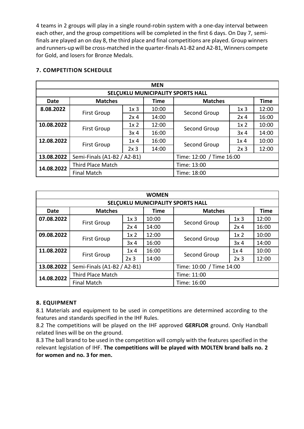4 teams in 2 groups will play in a single round-robin system with a one-day interval between each other, and the group competitions will be completed in the first 6 days. On Day 7, semifinals are played an on day 8, the third place and final competitions are played. Group winners and runners-up will be cross-matched in the quarter-finals A1-B2 and A2-B1, Winners compete for Gold, and losers for Bronze Medals.

#### **7. COMPETITION SCHEDULE**

| <b>MEN</b>                        |                             |                 |             |                          |                 |             |  |
|-----------------------------------|-----------------------------|-----------------|-------------|--------------------------|-----------------|-------------|--|
| SELÇUKLU MUNICIPALITY SPORTS HALL |                             |                 |             |                          |                 |             |  |
| <b>Date</b>                       | <b>Matches</b>              |                 | <b>Time</b> | <b>Matches</b>           |                 | <b>Time</b> |  |
| 8.08.2022                         |                             | 1x <sub>3</sub> | 10:00       | Second Group             | 1x <sub>3</sub> | 12:00       |  |
|                                   | <b>First Group</b>          | 2x <sub>4</sub> | 14:00       |                          | 2x <sub>4</sub> | 16:00       |  |
| 10.08.2022                        | <b>First Group</b>          | 1x <sub>2</sub> | 12:00       | Second Group             | 1x <sub>2</sub> | 10:00       |  |
|                                   |                             | 3x <sub>4</sub> | 16:00       |                          | 3x <sub>4</sub> | 14:00       |  |
| 12.08.2022                        | <b>First Group</b>          | 1x <sub>4</sub> | 16:00       | Second Group             | 1x <sub>4</sub> | 10:00       |  |
|                                   |                             | 2x3             | 14:00       |                          | 2x <sub>3</sub> | 12:00       |  |
| 13.08.2022                        | Semi-Finals (A1-B2 / A2-B1) |                 |             | Time: 12:00 / Time 16:00 |                 |             |  |
| 14.08.2022                        | Third Place Match           |                 |             | Time: 13:00              |                 |             |  |
|                                   | <b>Final Match</b>          |                 |             | Time: 18:00              |                 |             |  |

| <b>WOMEN</b>                      |                             |                 |             |                          |                 |             |  |
|-----------------------------------|-----------------------------|-----------------|-------------|--------------------------|-----------------|-------------|--|
| SELÇUKLU MUNICIPALITY SPORTS HALL |                             |                 |             |                          |                 |             |  |
| <b>Date</b>                       | <b>Matches</b>              |                 | <b>Time</b> | <b>Matches</b>           |                 | <b>Time</b> |  |
| 07.08.2022                        | <b>First Group</b>          | 1x <sub>3</sub> | 10:00       | Second Group             | 1x <sub>3</sub> | 12:00       |  |
|                                   |                             | 2x <sub>4</sub> | 14:00       |                          | 2x <sub>4</sub> | 16:00       |  |
| 09.08.2022                        | <b>First Group</b>          | 1x <sub>2</sub> | 12:00       | Second Group             | 1x <sub>2</sub> | 10:00       |  |
|                                   |                             | 3x <sub>4</sub> | 16:00       |                          | 3x <sub>4</sub> | 14:00       |  |
| 11.08.2022                        | <b>First Group</b>          | 1x <sub>4</sub> | 16:00       | Second Group             | 1x <sub>4</sub> | 10:00       |  |
|                                   |                             | 2x3             | 14:00       |                          | 2x3             | 12:00       |  |
| 13.08.2022                        | Semi-Finals (A1-B2 / A2-B1) |                 |             | Time: 10:00 / Time 14:00 |                 |             |  |
| 14.08.2022                        | <b>Third Place Match</b>    |                 | Time: 11:00 |                          |                 |             |  |
|                                   | <b>Final Match</b>          |                 |             | Time: 16:00              |                 |             |  |

#### **8. EQUIPMENT**

8.1 Materials and equipment to be used in competitions are determined according to the features and standards specified in the IHF Rules.

8.2 The competitions will be played on the IHF approved **GERFLOR** ground. Only Handball related lines will be on the ground.

8.3 The ball brand to be used in the competition will comply with the features specified in the relevant legislation of IHF. **The competitions will be played with MOLTEN brand balls no. 2 for women and no. 3 for men.**